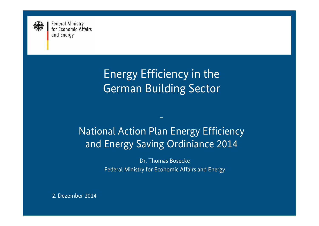

# Energy Efficiency in the German Building Sector

## National Action Plan Energy Efficiency and Energy Saving Ordiniance 2014

-

Dr. Thomas Bosecke Federal Ministry for Economic Affairs and Energy

2. Dezember 2014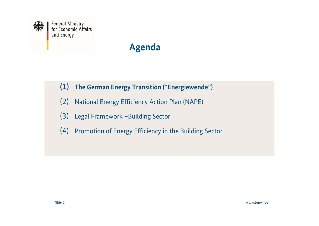

- **(1) The German Energy Transition ("Energiewende")**
- (2) National Energy Efficiency Action Plan (NAPE)
- (3) Legal Framework –Building Sector
- (4) Promotion of Energy Efficiency in the Building Sector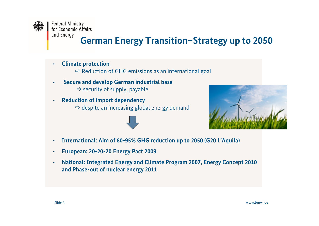

### **German Energy Transition–Strategy up to 2050**

- **Climate protection**
	- $\Rightarrow$  Reduction of GHG emissions as an international goal
- **Secure and develop German industrial base**  $\Rightarrow$  security of supply, payable
- **Reduction of import dependency**  $\Rightarrow$  despite an increasing global energy demand





- **International: Aim of 80-95% GHG reduction up to 2050 (G20 L'Aquila)**
- **European: 20-20-20 Energy Pact 2009**
- **National: Integrated Energy and Climate Program 2007, Energy Concept 2010 and Phase-out of nuclear energy 2011**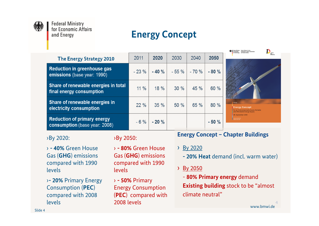

### **Energy Concept**

| <b>The Energy Strategy 2010</b>                                     | 2011    | 2020   | 2030   | 2040   | 2050   |
|---------------------------------------------------------------------|---------|--------|--------|--------|--------|
| <b>Reduction in greenhouse gas</b><br>emissions (base year: 1990)   | $-23%$  | $-40%$ | $-55%$ | $-70%$ | $-80%$ |
| Share of renewable energies in total<br>final energy consumption    | $11\%$  | 18 %   | 30%    | 45 %   | 60 %   |
| Share of renewable energies in<br>electricity consumption           | 22%     | 35 %   | 50 %   | 65 %   | 80 %   |
| <b>Reduction of primary energy</b><br>consumption (base year: 2008) | $-6 \%$ | $-20%$ |        |        | $-50%$ |



**Contract Contract Contract Contract Contract Contract Contract Contract Contract Contract Contract Contract Contract Contract Contract Contract Contract Contract Contract Contract Contract Contract Contract Contract Contr** 

#### ›By 2020:

› **- 40%** Green House Gas (**GHG**) emissions compared with 1990 levels

›**- 20%** Primary Energy Consumption (**PEC**) compared with 2008 levels

#### ›By 2050:

› **- 80%** Green House Gas (**GHG**) emissions compared with 1990 levels

› **- 50%** Primary Energy Consumption (**PEC**) compared with 2008 levels

#### **Energy Concept – Chapter Buildings**

- › By 2020
	- **20% Heat** demand (incl. warm water)
- › By 2050
	- **80% Primary energy** demand

**Existing building** stock to be "almost climate neutral"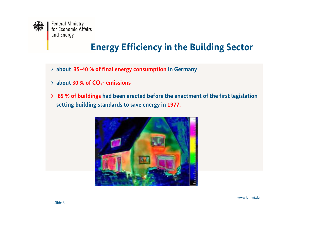

#### **Energy Efficiency in the Building Sector**

- › **about 35-40 % of final energy consumption in Germany**
- › **about 30 % of CO<sup>2</sup> emissions**
- › **65 % of buildings had been erected before the enactment of the first legislation setting building standards to save energy in 1977.**

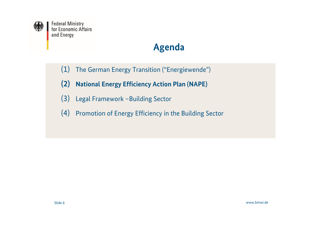

- (1) The German Energy Transition ("Energiewende")
- **(2) National Energy Efficiency Action Plan (NAPE)**
- (3) Legal Framework –Building Sector
- (4) Promotion of Energy Efficiency in the Building Sector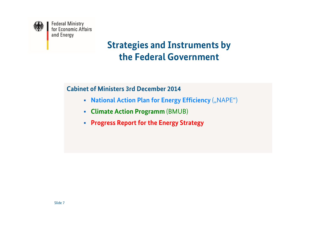

### **Strategies and Instruments by the Federal Government**

**Cabinet of Ministers 3rd December 2014**

- **National Action Plan for Energy Efficiency** ("NAPE")
- **Climate Action Programm** (BMUB)
- **Progress Report for the Energy Strategy**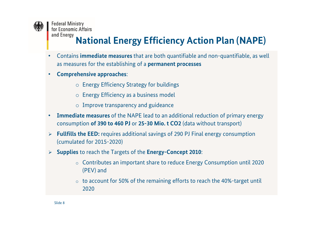

## **National Energy Efficiency Action Plan (NAPE)**

- Contains **immediate measures** that are both quantifiable and non-quantifiable, as well as measures for the establishing of a **permanent processes**
- **Comprehensive approaches**:
	- o Energy Efficiency Strategy for buildings
	- o Energy Efficiency as a business model
	- o Improve transparency and guideance
- **Immediate measures** of the NAPE lead to an additional reduction of primary energy consumption **of 390 to 460 PJ** or **25-30 Mio. t CO2** (data without transport)
- **Fullfills the EED:** requires additional savings of 290 PJ Final energy consumption (cumulated for 2015-2020)
- **Supplies** to reach the Targets of the **Energy-Concept 2010**:
	- o Contributes an important share to reduce Energy Consumption until 2020 (PEV) and
	- $\circ$  to account for 50% of the remaining efforts to reach the 40%-target until 2020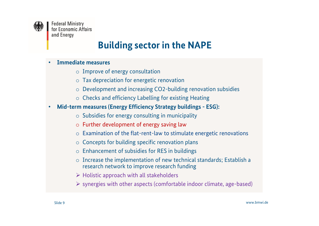

### **Building sector in the NAPE**

#### • **Immediate measures**

- o Improve of energy consultation
- o Tax depreciation for energetic renovation
- o Development and increasing CO2-building renovation subsidies
- o Checks and efficiency Labelling for existing Heating
- **Mid-term measures (Energy Efficiency Strategy buildings ESG):**
	- $\circ$  Subsidies for energy consulting in municipality
	- o Further development of energy saving law
	- $\circ$  Examination of the flat-rent-law to stimulate energetic renovations
	- o Concepts for building specific renovation plans
	- o Enhancement of subsidies for RES in buildings
	- o Increase the implementation of new technical standards; Establish a research network to improve research funding
	- $\triangleright$  Holistic approach with all stakeholders
	- $\triangleright$  synergies with other aspects (comfortable indoor climate, age-based)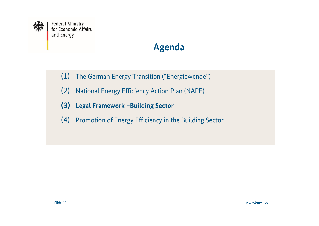

- (1) The German Energy Transition ("Energiewende")
- (2) National Energy Efficiency Action Plan (NAPE)
- **(3) Legal Framework –Building Sector**
- (4) Promotion of Energy Efficiency in the Building Sector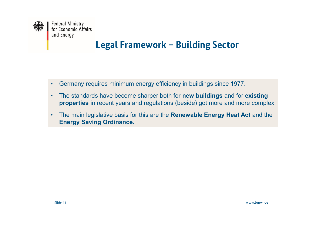

#### **Legal Framework – Building Sector**

- Germany requires minimum energy efficiency in buildings since 1977.
- The standards have become sharper both for **new buildings** and for **existing properties** in recent years and regulations (beside) got more and more complex
- The main legislative basis for this are the **Renewable Energy Heat Act** and the **Energy Saving Ordinance.**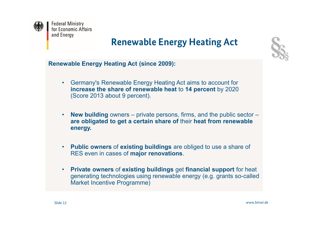

### **Renewable Energy Heating Act**



**Renewable Energy Heating Act (since 2009):**

- Germany's Renewable Energy Heating Act aims to account for **increase the share of renewable heat** to **14 percent** by 2020 (Score 2013 about 9 percent).
- **New building** owners private persons, firms, and the public sector **are obligated to get a certain share of** their **heat from renewable energy.**
- **Public owners** of **existing buildings** are obliged to use a share of RES even in cases of **major renovations**.
- **Private owners** of **existing buildings** get **financial support** for heat generating technologies using renewable energy (e.g. grants so-called Market Incentive Programme)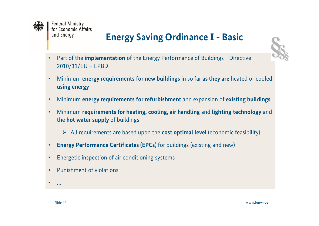

## **Energy Saving Ordinance I - Basic**



- Part of the **implementation** of the Energy Performance of Buildings Directive 2010/31/EU – EPBD
- Minimum **energy requirements for new buildings** in so far **as they are** heated or cooled **using energy**
- Minimum **energy requirements for refurbishment** and expansion of **existing buildings**
- Minimum **requirements for heating, cooling, air handling** and **lighting technology** and the **hot water supply** of buildings
	- All requirements are based upon the **cost optimal level** (economic feasibility)
- **Energy Performance Certificates (EPCs)** for buildings (existing and new)
- Energetic inspection of air conditioning systems
- Punishment of violations

• …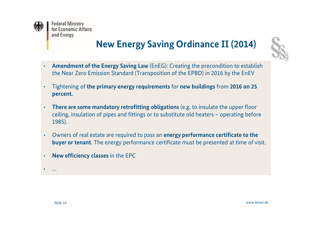

## **New Energy Saving Ordinance II (2014)**



- **Amendment of the Energy Saving Law** (EnEG): Creating the precondition to establish the Near Zero Emission Standard (Transposition of the EPBD) in 2016 by the EnEV
- Tightening of **the primary energy requirements** for **new buildings** from **2016 on 25 percent.**
- **There are some mandatory retrofitting obligations** (e.g. to insulate the upper floor ceiling, insulation of pipes and fittings or to substitute old heaters – operating before 1985).
- Owners of real estate are required to pass an **energy performance certificate to the buyer or tenant**. The energy performance certificate must be presented at time of visit.
- **New efficiency classes** in the EPC

• …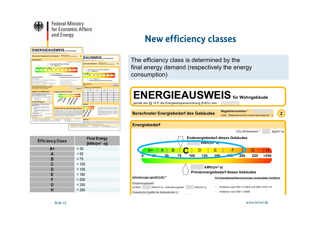



#### **New efficiency classes**

The efficiency class is determined by the final energy demand (respectively the energy consumption)

#### A+ A <sup>B</sup> <sup>C</sup> <sup>D</sup> <sup>E</sup> <sup>F</sup> <sup>G</sup> <sup>H</sup> **ENERGIEAUSWEISfür Wohngebäude** gemäß den §§ 16 ff. der Energieeinsparverordnung (EnEV) vom <sup>1</sup>

**Berechneter Energiebedarf des Gebäudes 2**

**Registriernummer** <sup>2</sup> (oder: "Registriernummer wurde beantragt am...")



| <b>Efficiency Class</b> | <b>Final Energy</b><br>[ $kWh/(m^2 \cdot a)$ ] |
|-------------------------|------------------------------------------------|
| A+                      | < 30                                           |
| A                       | < 50                                           |
| B                       | < 75                                           |
| C                       | < 100                                          |
| D                       | < 130                                          |
| E                       | < 160                                          |
| F                       | < 200                                          |
| G                       | < 250                                          |
| н                       | > 250                                          |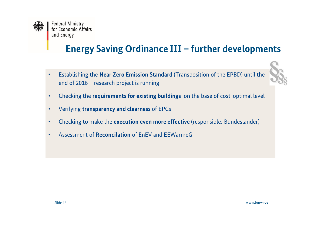

## **Energy Saving Ordinance III – further developments**

- Establishing the **Near Zero Emission Standard** (Transposition of the EPBD) until the end of 2016 – research project is running
- Checking the **requirements for existing buildings** ion the base of cost-optimal level
- Verifying **transparency and clearness** of EPCs
- Checking to make the **execution even more effective** (responsible: Bundesländer)
- Assessment of **Reconcilation** of EnEV and EEWärmeG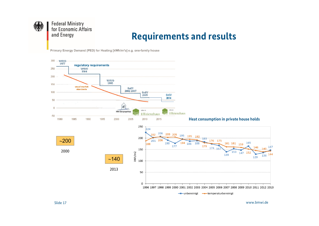

#### **Requirements and results**

Primary Energy Demand (PED) for Heating [kWh/m<sup>2</sup>a] e.g. one-family house

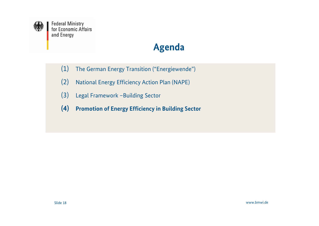

- (1) The German Energy Transition ("Energiewende")
- (2) National Energy Efficiency Action Plan (NAPE)
- (3) Legal Framework –Building Sector
- **(4) Promotion of Energy Efficiency in Building Sector**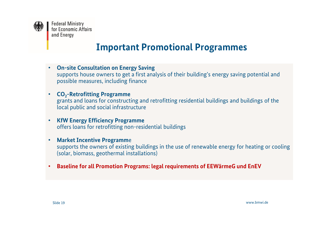

#### **Important Promotional Programmes**

- **On-site Consultation on Energy Saving** supports house owners to get a first analysis of their building's energy saving potential and possible measures, including finance
- **CO<sup>2</sup> -Retrofitting Programme** grants and loans for constructing and retrofitting residential buildings and buildings of the local public and social infrastructure
- **KfW Energy Efficiency Programme** offers loans for retrofitting non-residential buildings
- **Market Incentive Programm**e supports the owners of existing buildings in the use of renewable energy for heating or cooling (solar, biomass, geothermal installations)
- **Baseline for all Promotion Programs: legal requirements of EEWärmeG und EnEV**